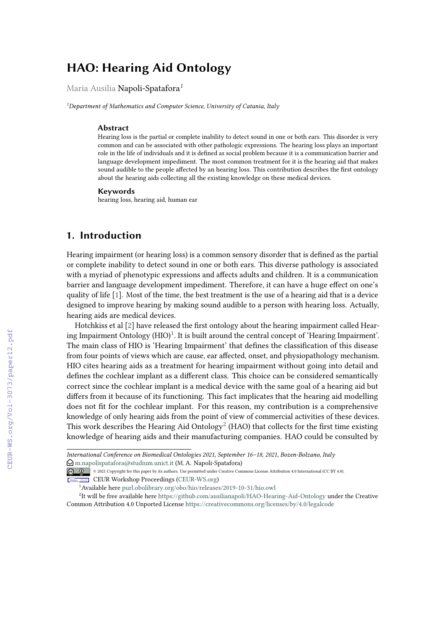# **HAO: Hearing Aid Ontology**

Maria Ausilia Napoli-Spatafora*<sup>1</sup>*

*<sup>1</sup>Department of Mathematics and Computer Science, University of Catania, Italy*

#### **Abstract**

Hearing loss is the partial or complete inability to detect sound in one or both ears. This disorder is very common and can be associated with other pathologic expressions. The hearing loss plays an important role in the life of individuals and it is defined as social problem because it is a communication barrier and language development impediment. The most common treatment for it is the hearing aid that makes sound audible to the people affected by an hearing loss. This contribution describes the first ontology about the hearing aids collecting all the existing knowledge on these medical devices.

#### **Keywords**

hearing loss, hearing aid, human ear

#### **1. Introduction**

Hearing impairment (or hearing loss) is a common sensory disorder that is defined as the partial or complete inability to detect sound in one or both ears. This diverse pathology is associated with a myriad of phenotypic expressions and affects adults and children. It is a communication barrier and language development impediment. Therefore, it can have a huge effect on one's quality of life [\[1\]](#page--1-0). Most of the time, the best treatment is the use of a hearing aid that is a device designed to improve hearing by making sound audible to a person with hearing loss. Actually, hearing aids are medical devices.

Hotchkiss et al [\[2\]](#page--1-1) have released the first ontology about the hearing impairment called Hearing Impairment Ontology  $(HIO)^1$  $(HIO)^1$ . It is built around the central concept of 'Hearing Impairment'. The main class of HIO is 'Hearing Impairment' that defines the classification of this disease from four points of views which are cause, ear affected, onset, and physiopathology mechanism. HIO cites hearing aids as a treatment for hearing impairment without going into detail and defines the cochlear implant as a different class. This choice can be considered semantically correct since the cochlear implant is a medical device with the same goal of a hearing aid but differs from it because of its functioning. This fact implicates that the hearing aid modelling does not fit for the cochlear implant. For this reason, my contribution is a comprehensive knowledge of only hearing aids from the point of view of commercial activities of these devices. This work describes the Hearing Aid Ontology $^2$  $^2$  (HAO) that collects for the first time existing knowledge of hearing aids and their manufacturing companies. HAO could be consulted by

*International Conference on Biomedical Ontologies 2021, September 16–18, 2021, Bozen-Bolzano, Italy*  $\bigcirc$  [m.napolispatafora@studium.unict.it](mailto:m.napolispatafora@studium.unict.it) (M. A. Napoli-Spatafora)

© 2021 Copyright for this paper by its authors. Use permitted under Creative Commons License Attribution 4.0 International (CC BY 4.0). CEUR Workshop [Proceedings](http://ceur-ws.org) [\(CEUR-WS.org\)](http://ceur-ws.org)

<span id="page-0-1"></span><span id="page-0-0"></span><sup>1</sup>Available here <purl.obolibrary.org/obo/hio/releases/2019-10-31/hio.owl>

<sup>&</sup>lt;sup>2</sup>It will be free available here <https://github.com/ausilianapoli/HAO-Hearing-Aid-Ontology> under the Creative Common Attribution 4.0 Unported License <https://creativecommons.org/licenses/by/4.0/legalcode>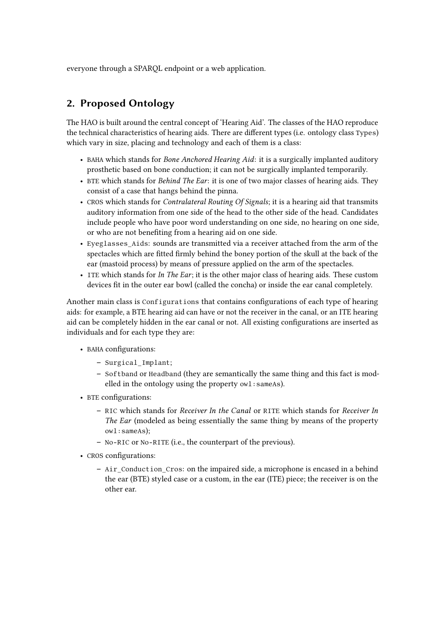everyone through a SPARQL endpoint or a web application.

## **2. Proposed Ontology**

The HAO is built around the central concept of 'Hearing Aid'. The classes of the HAO reproduce the technical characteristics of hearing aids. There are different types (i.e. ontology class Types) which vary in size, placing and technology and each of them is a class:

- BAHA which stands for *Bone Anchored Hearing Aid*: it is a surgically implanted auditory prosthetic based on bone conduction; it can not be surgically implanted temporarily.
- BTE which stands for *Behind The Ear*: it is one of two major classes of hearing aids. They consist of a case that hangs behind the pinna.
- CROS which stands for *Contralateral Routing Of Signals*; it is a hearing aid that transmits auditory information from one side of the head to the other side of the head. Candidates include people who have poor word understanding on one side, no hearing on one side, or who are not benefiting from a hearing aid on one side.
- Eyeglasses\_Aids: sounds are transmitted via a receiver attached from the arm of the spectacles which are fitted firmly behind the boney portion of the skull at the back of the ear (mastoid process) by means of pressure applied on the arm of the spectacles.
- ITE which stands for *In The Ear*; it is the other major class of hearing aids. These custom devices fit in the outer ear bowl (called the concha) or inside the ear canal completely.

Another main class is Configurations that contains configurations of each type of hearing aids: for example, a BTE hearing aid can have or not the receiver in the canal, or an ITE hearing aid can be completely hidden in the ear canal or not. All existing configurations are inserted as individuals and for each type they are:

- BAHA configurations:
	- **–** Surgical\_Implant;
	- **–** Softband or Headband (they are semantically the same thing and this fact is modelled in the ontology using the property owl: sameAs).
- BTE configurations:
	- **–** RIC which stands for *Receiver In the Canal* or RITE which stands for *Receiver In The Ear* (modeled as being essentially the same thing by means of the property owl:sameAs);
	- **–** No-RIC or No-RITE (i.e., the counterpart of the previous).
- CROS configurations:
	- **–** Air\_Conduction\_Cros: on the impaired side, a microphone is encased in a behind the ear (BTE) styled case or a custom, in the ear (ITE) piece; the receiver is on the other ear.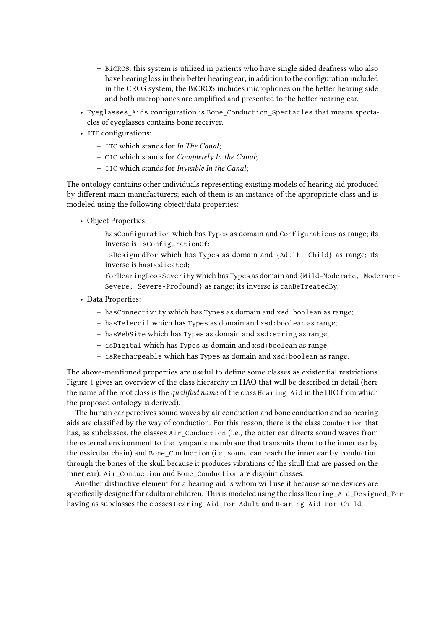- **–** BiCROS: this system is utilized in patients who have single sided deafness who also have hearing loss in their better hearing ear; in addition to the configuration included in the CROS system, the BiCROS includes microphones on the better hearing side and both microphones are amplified and presented to the better hearing ear.
- Eyeglasses\_Aids configuration is Bone\_Conduction\_Spectacles that means spectacles of eyeglasses contains bone receiver.
- ITE configurations:
	- **–** ITC which stands for *In The Canal*;
	- **–** CIC which stands for *Completely In the Canal*;
	- **–** IIC which stands for *Invisible In the Canal*;

The ontology contains other individuals representing existing models of hearing aid produced by different main manufacturers; each of them is an instance of the appropriate class and is modeled using the following object/data properties:

- Object Properties:
	- **–** hasConfiguration which has Types as domain and Configurations as range; its inverse is isConfigurationOf;
	- **–** isDesignedFor which has Types as domain and {Adult, Child} as range; its inverse is hasDedicated;
	- **–** forHearingLossSeverity which has Types as domain and {Mild-Moderate, Moderate-Severe, Severe-Profound} as range; its inverse is canBeTreatedBy.
- Data Properties:
	- **–** hasConnectivity which has Types as domain and xsd:boolean as range;
	- **–** hasTelecoil which has Types as domain and xsd:boolean as range;
	- **–** hasWebSite which has Types as domain and xsd:string as range;
	- **–** isDigital which has Types as domain and xsd:boolean as range;
	- **–** isRechargeable which has Types as domain and xsd:boolean as range.

The above-mentioned properties are useful to define some classes as existential restrictions. Figure [1](#page-3-0) gives an overview of the class hierarchy in HAO that will be described in detail (here the name of the root class is the *qualified name* of the class Hearing Aid in the HIO from which the proposed ontology is derived).

The human ear perceives sound waves by air conduction and bone conduction and so hearing aids are classified by the way of conduction. For this reason, there is the class Conduction that has, as subclasses, the classes Air\_Conduction (i.e., the outer ear directs sound waves from the external environment to the tympanic membrane that transmits them to the inner ear by the ossicular chain) and Bone\_Conduction (i.e., sound can reach the inner ear by conduction through the bones of the skull because it produces vibrations of the skull that are passed on the inner ear). Air\_Conduction and Bone\_Conduction are disjoint classes.

Another distinctive element for a hearing aid is whom will use it because some devices are specifically designed for adults or children. This is modeled using the class Hearing\_Aid\_Designed\_For having as subclasses the classes Hearing\_Aid\_For\_Adult and Hearing\_Aid\_For\_Child.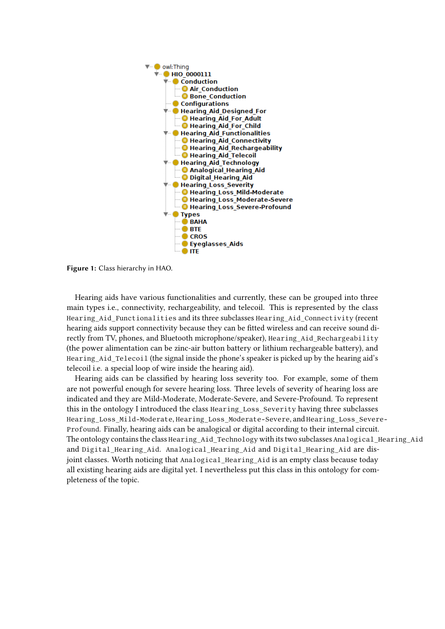

<span id="page-3-0"></span>**Figure 1:** Class hierarchy in HAO.

Hearing aids have various functionalities and currently, these can be grouped into three main types i.e., connectivity, rechargeability, and telecoil. This is represented by the class Hearing\_Aid\_Functionalities and its three subclasses Hearing\_Aid\_Connectivity (recent hearing aids support connectivity because they can be fitted wireless and can receive sound directly from TV, phones, and Bluetooth microphone/speaker), Hearing Aid Rechargeability (the power alimentation can be zinc-air button battery or lithium rechargeable battery), and Hearing Aid Telecoil (the signal inside the phone's speaker is picked up by the hearing aid's telecoil i.e. a special loop of wire inside the hearing aid).

Hearing aids can be classified by hearing loss severity too. For example, some of them are not powerful enough for severe hearing loss. Three levels of severity of hearing loss are indicated and they are Mild-Moderate, Moderate-Severe, and Severe-Profound. To represent this in the ontology I introduced the class Hearing\_Loss\_Severity having three subclasses Hearing Loss Mild-Moderate, Hearing Loss Moderate-Severe, and Hearing Loss Severe-Profound. Finally, hearing aids can be analogical or digital according to their internal circuit. The ontology contains the class Hearing Aid Technology with its two subclasses Analogical Hearing Aid and Digital Hearing Aid. Analogical Hearing Aid and Digital Hearing Aid are disjoint classes. Worth noticing that Analogical Hearing Aid is an empty class because today all existing hearing aids are digital yet. I nevertheless put this class in this ontology for completeness of the topic.